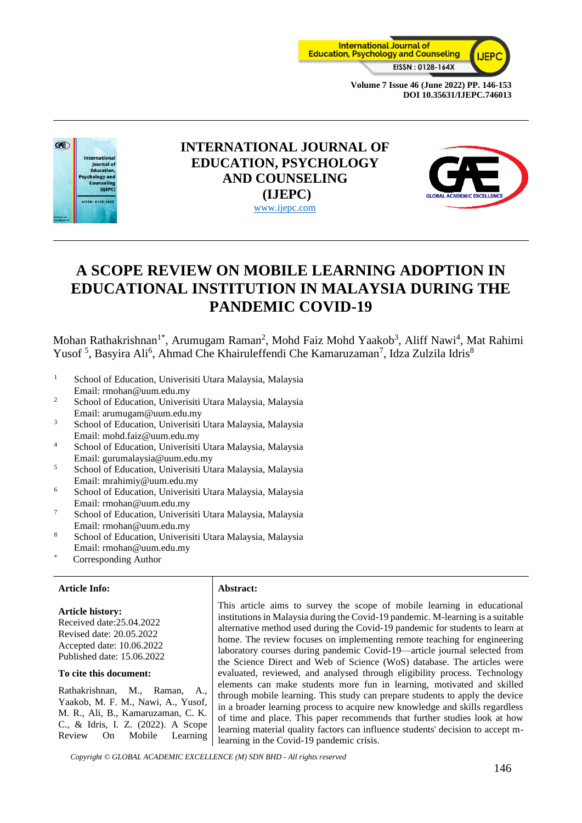



## **INTERNATIONAL JOURNAL OF EDUCATION, PSYCHOLOGY AND COUNSELING (IJEPC)** [www.ijepc.com](http://www.ijepc.com/)



# **A SCOPE REVIEW ON MOBILE LEARNING ADOPTION IN EDUCATIONAL INSTITUTION IN MALAYSIA DURING THE PANDEMIC COVID-19**

Mohan Rathakrishnan<sup>1\*</sup>, Arumugam Raman<sup>2</sup>, Mohd Faiz Mohd Yaakob<sup>3</sup>, Aliff Nawi<sup>4</sup>, Mat Rahimi Yusof<sup>5</sup>, Basyira Ali<sup>6</sup>, Ahmad Che Khairuleffendi Che Kamaruzaman<sup>7</sup>, Idza Zulzila Idris<sup>8</sup>

- <sup>1</sup> School of Education, Univerisiti Utara Malaysia, Malaysia Email: rmohan@uum.edu.my
- <sup>2</sup> School of Education, Univerisiti Utara Malaysia, Malaysia Email: arumugam@uum.edu.my
- <sup>3</sup> School of Education, Univerisiti Utara Malaysia, Malaysia Email: mohd.faiz@uum.edu.my
- <sup>4</sup> School of Education, Univerisiti Utara Malaysia, Malaysia Email: gurumalaysia@uum.edu.my
- <sup>5</sup> School of Education, Univerisiti Utara Malaysia, Malaysia Email: mrahimiy@uum.edu.my
- <sup>6</sup> School of Education, Univerisiti Utara Malaysia, Malaysia Email: rmohan@uum.edu.my
- <sup>7</sup> School of Education, Univerisiti Utara Malaysia, Malaysia Email: rmohan@uum.edu.my
- <sup>8</sup> School of Education, Univerisiti Utara Malaysia, Malaysia Email: rmohan@uum.edu.my
- Corresponding Author

#### **Article Info: Abstract:**

**Article history:** Received date:25.04.2022 Revised date: 20.05.2022 Accepted date: 10.06.2022 Published date: 15.06.2022

#### **To cite this document:**

Rathakrishnan, M., Raman, A., Yaakob, M. F. M., Nawi, A., Yusof, M. R., Ali, B., Kamaruzaman, C. K. C., & Idris, I. Z. (2022). A Scope Review On Mobile Learning

This article aims to survey the scope of mobile learning in educational institutions in Malaysia during the Covid-19 pandemic. M-learning is a suitable alternative method used during the Covid-19 pandemic for students to learn at home. The review focuses on implementing remote teaching for engineering laboratory courses during pandemic Covid-19—article journal selected from the Science Direct and Web of Science (WoS) database. The articles were evaluated, reviewed, and analysed through eligibility process. Technology elements can make students more fun in learning, motivated and skilled through mobile learning. This study can prepare students to apply the device in a broader learning process to acquire new knowledge and skills regardless of time and place. This paper recommends that further studies look at how learning material quality factors can influence students' decision to accept mlearning in the Covid-19 pandemic crisis.

*Copyright © GLOBAL ACADEMIC EXCELLENCE (M) SDN BHD - All rights reserved*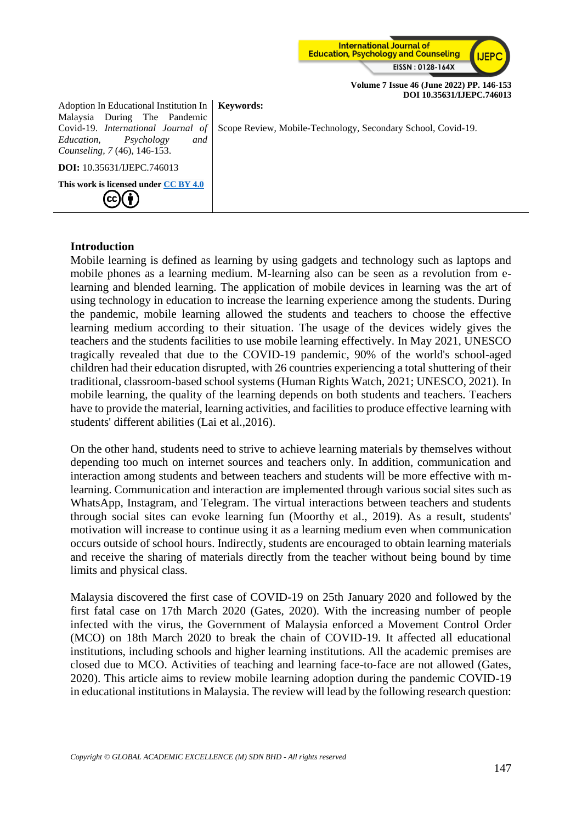

Adoption In Educational Institution In Malaysia During The Pandemic Covid-19. *International Journal of Education, Psychology and Counseling, 7* (46), 146-153.

Scope Review, Mobile-Technology, Secondary School, Covid-19.

#### **This work is licensed under [CC BY 4.0](https://creativecommons.org/licenses/by/4.0/?ref=chooser-v1)** (cc) Ŧ

**DOI:** 10.35631/IJEPC.746013

### **Introduction**

Mobile learning is defined as learning by using gadgets and technology such as laptops and mobile phones as a learning medium. M-learning also can be seen as a revolution from elearning and blended learning. The application of mobile devices in learning was the art of using technology in education to increase the learning experience among the students. During the pandemic, mobile learning allowed the students and teachers to choose the effective learning medium according to their situation. The usage of the devices widely gives the teachers and the students facilities to use mobile learning effectively. In May 2021, UNESCO tragically revealed that due to the COVID-19 pandemic, 90% of the world's school-aged children had their education disrupted, with 26 countries experiencing a total shuttering of their traditional, classroom-based school systems (Human Rights Watch, 2021; UNESCO, 2021). In mobile learning, the quality of the learning depends on both students and teachers. Teachers have to provide the material, learning activities, and facilities to produce effective learning with students' different abilities (Lai et al.,2016).

**Keywords:**

On the other hand, students need to strive to achieve learning materials by themselves without depending too much on internet sources and teachers only. In addition, communication and interaction among students and between teachers and students will be more effective with mlearning. Communication and interaction are implemented through various social sites such as WhatsApp, Instagram, and Telegram. The virtual interactions between teachers and students through social sites can evoke learning fun (Moorthy et al., 2019). As a result, students' motivation will increase to continue using it as a learning medium even when communication occurs outside of school hours. Indirectly, students are encouraged to obtain learning materials and receive the sharing of materials directly from the teacher without being bound by time limits and physical class.

Malaysia discovered the first case of COVID-19 on 25th January 2020 and followed by the first fatal case on 17th March 2020 (Gates, 2020). With the increasing number of people infected with the virus, the Government of Malaysia enforced a Movement Control Order (MCO) on 18th March 2020 to break the chain of COVID-19. It affected all educational institutions, including schools and higher learning institutions. All the academic premises are closed due to MCO. Activities of teaching and learning face-to-face are not allowed (Gates, 2020). This article aims to review mobile learning adoption during the pandemic COVID-19 in educational institutions in Malaysia. The review will lead by the following research question: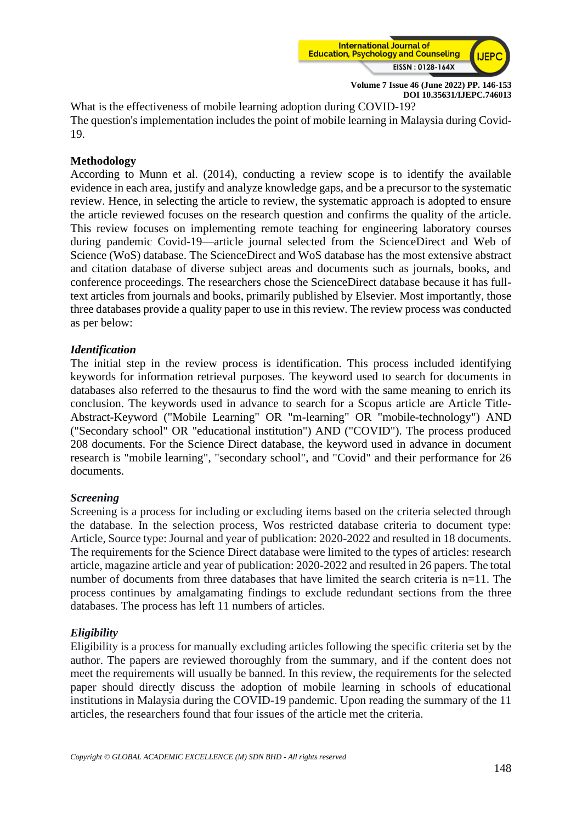

What is the effectiveness of mobile learning adoption during COVID-19? The question's implementation includes the point of mobile learning in Malaysia during Covid-19.

### **Methodology**

According to Munn et al. (2014), conducting a review scope is to identify the available evidence in each area, justify and analyze knowledge gaps, and be a precursor to the systematic review. Hence, in selecting the article to review, the systematic approach is adopted to ensure the article reviewed focuses on the research question and confirms the quality of the article. This review focuses on implementing remote teaching for engineering laboratory courses during pandemic Covid-19—article journal selected from the ScienceDirect and Web of Science (WoS) database. The ScienceDirect and WoS database has the most extensive abstract and citation database of diverse subject areas and documents such as journals, books, and conference proceedings. The researchers chose the ScienceDirect database because it has fulltext articles from journals and books, primarily published by Elsevier. Most importantly, those three databases provide a quality paper to use in this review. The review process was conducted as per below:

### *Identification*

The initial step in the review process is identification. This process included identifying keywords for information retrieval purposes. The keyword used to search for documents in databases also referred to the thesaurus to find the word with the same meaning to enrich its conclusion. The keywords used in advance to search for a Scopus article are Article Title-Abstract-Keyword ("Mobile Learning" OR "m-learning" OR "mobile-technology") AND ("Secondary school" OR "educational institution") AND ("COVID"). The process produced 208 documents. For the Science Direct database, the keyword used in advance in document research is "mobile learning", "secondary school", and "Covid" and their performance for 26 documents.

#### *Screening*

Screening is a process for including or excluding items based on the criteria selected through the database. In the selection process, Wos restricted database criteria to document type: Article, Source type: Journal and year of publication: 2020-2022 and resulted in 18 documents. The requirements for the Science Direct database were limited to the types of articles: research article, magazine article and year of publication: 2020-2022 and resulted in 26 papers. The total number of documents from three databases that have limited the search criteria is n=11. The process continues by amalgamating findings to exclude redundant sections from the three databases. The process has left 11 numbers of articles.

#### *Eligibility*

Eligibility is a process for manually excluding articles following the specific criteria set by the author. The papers are reviewed thoroughly from the summary, and if the content does not meet the requirements will usually be banned. In this review, the requirements for the selected paper should directly discuss the adoption of mobile learning in schools of educational institutions in Malaysia during the COVID-19 pandemic. Upon reading the summary of the 11 articles, the researchers found that four issues of the article met the criteria.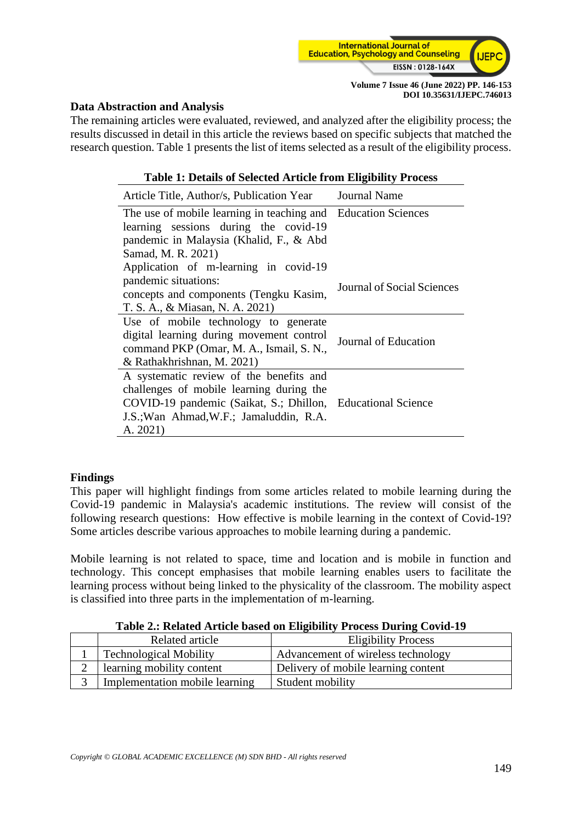

#### **Data Abstraction and Analysis**

The remaining articles were evaluated, reviewed, and analyzed after the eligibility process; the results discussed in detail in this article the reviews based on specific subjects that matched the research question. Table 1 presents the list of items selected as a result of the eligibility process.

| <b>Table 1: Details of Selected Article from Eligibility Process</b>                                                                                                                                      |                            |  |  |
|-----------------------------------------------------------------------------------------------------------------------------------------------------------------------------------------------------------|----------------------------|--|--|
| Article Title, Author/s, Publication Year Journal Name                                                                                                                                                    |                            |  |  |
| The use of mobile learning in teaching and Education Sciences<br>learning sessions during the covid-19<br>pandemic in Malaysia (Khalid, F., & Abd<br>Samad, M. R. 2021)                                   |                            |  |  |
| Application of m-learning in covid-19<br>pandemic situations:<br>concepts and components (Tengku Kasim,<br>T. S. A., & Miasan, N. A. 2021)                                                                | Journal of Social Sciences |  |  |
| Use of mobile technology to generate<br>digital learning during movement control<br>command PKP (Omar, M. A., Ismail, S. N.,<br>& Rathakhrishnan, M. 2021)                                                | Journal of Education       |  |  |
| A systematic review of the benefits and<br>challenges of mobile learning during the<br>COVID-19 pandemic (Saikat, S.; Dhillon, Educational Science<br>J.S.; Wan Ahmad, W.F.; Jamaluddin, R.A.<br>A. 2021) |                            |  |  |

#### **Findings**

This paper will highlight findings from some articles related to mobile learning during the Covid-19 pandemic in Malaysia's academic institutions. The review will consist of the following research questions: How effective is mobile learning in the context of Covid-19? Some articles describe various approaches to mobile learning during a pandemic.

Mobile learning is not related to space, time and location and is mobile in function and technology. This concept emphasises that mobile learning enables users to facilitate the learning process without being linked to the physicality of the classroom. The mobility aspect is classified into three parts in the implementation of m-learning.

| Table 2.: Related Article based on Eligibility Process During Covid-19 |  |  |
|------------------------------------------------------------------------|--|--|
|                                                                        |  |  |

|   | Related article                | <b>Eligibility Process</b>          |
|---|--------------------------------|-------------------------------------|
|   | <b>Technological Mobility</b>  | Advancement of wireless technology  |
| ∸ | learning mobility content      | Delivery of mobile learning content |
|   | Implementation mobile learning | Student mobility                    |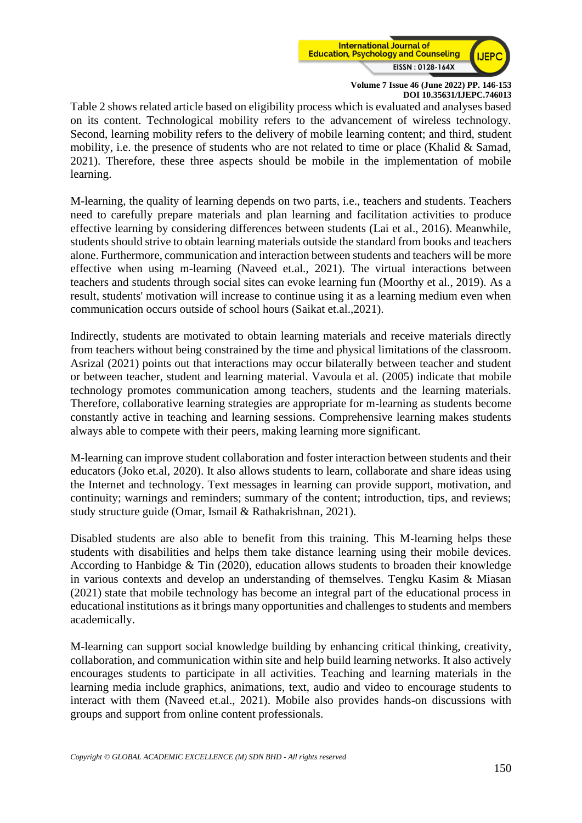

Table 2 shows related article based on eligibility process which is evaluated and analyses based on its content. Technological mobility refers to the advancement of wireless technology. Second, learning mobility refers to the delivery of mobile learning content; and third, student mobility, i.e. the presence of students who are not related to time or place (Khalid & Samad, 2021). Therefore, these three aspects should be mobile in the implementation of mobile learning.

M-learning, the quality of learning depends on two parts, i.e., teachers and students. Teachers need to carefully prepare materials and plan learning and facilitation activities to produce effective learning by considering differences between students (Lai et al., 2016). Meanwhile, students should strive to obtain learning materials outside the standard from books and teachers alone. Furthermore, communication and interaction between students and teachers will be more effective when using m-learning (Naveed et.al., 2021). The virtual interactions between teachers and students through social sites can evoke learning fun (Moorthy et al., 2019). As a result, students' motivation will increase to continue using it as a learning medium even when communication occurs outside of school hours (Saikat et.al.,2021).

Indirectly, students are motivated to obtain learning materials and receive materials directly from teachers without being constrained by the time and physical limitations of the classroom. Asrizal (2021) points out that interactions may occur bilaterally between teacher and student or between teacher, student and learning material. Vavoula et al. (2005) indicate that mobile technology promotes communication among teachers, students and the learning materials. Therefore, collaborative learning strategies are appropriate for m-learning as students become constantly active in teaching and learning sessions. Comprehensive learning makes students always able to compete with their peers, making learning more significant.

M-learning can improve student collaboration and foster interaction between students and their educators (Joko et.al, 2020). It also allows students to learn, collaborate and share ideas using the Internet and technology. Text messages in learning can provide support, motivation, and continuity; warnings and reminders; summary of the content; introduction, tips, and reviews; study structure guide (Omar, Ismail & Rathakrishnan, 2021).

Disabled students are also able to benefit from this training. This M-learning helps these students with disabilities and helps them take distance learning using their mobile devices. According to Hanbidge & Tin (2020), education allows students to broaden their knowledge in various contexts and develop an understanding of themselves. Tengku Kasim & Miasan (2021) state that mobile technology has become an integral part of the educational process in educational institutions as it brings many opportunities and challenges to students and members academically.

M-learning can support social knowledge building by enhancing critical thinking, creativity, collaboration, and communication within site and help build learning networks. It also actively encourages students to participate in all activities. Teaching and learning materials in the learning media include graphics, animations, text, audio and video to encourage students to interact with them (Naveed et.al., 2021). Mobile also provides hands-on discussions with groups and support from online content professionals.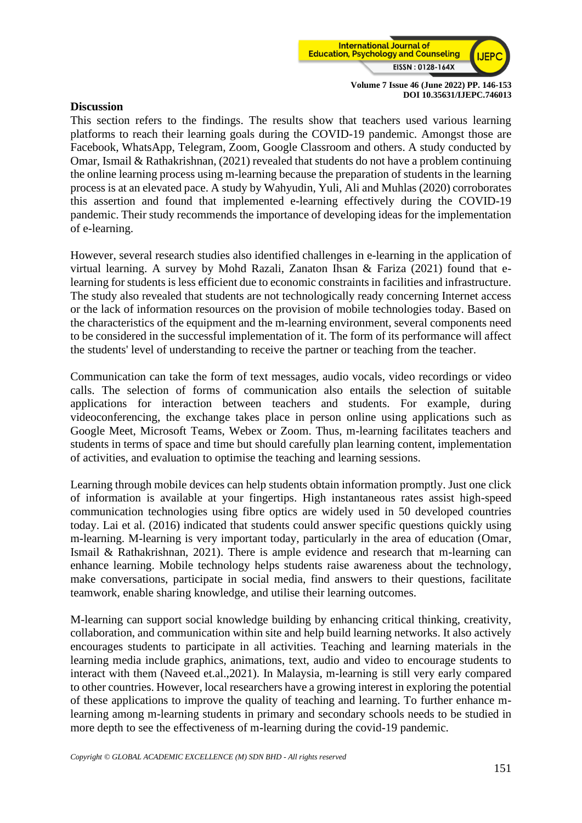

#### **Discussion**

This section refers to the findings. The results show that teachers used various learning platforms to reach their learning goals during the COVID-19 pandemic. Amongst those are Facebook, WhatsApp, Telegram, Zoom, Google Classroom and others. A study conducted by Omar, Ismail & Rathakrishnan, (2021) revealed that students do not have a problem continuing the online learning process using m-learning because the preparation of students in the learning process is at an elevated pace. A study by Wahyudin, Yuli, Ali and Muhlas (2020) corroborates this assertion and found that implemented e-learning effectively during the COVID-19 pandemic. Their study recommends the importance of developing ideas for the implementation of e-learning.

However, several research studies also identified challenges in e-learning in the application of virtual learning. A survey by Mohd Razali, Zanaton Ihsan & Fariza (2021) found that elearning for students is less efficient due to economic constraints in facilities and infrastructure. The study also revealed that students are not technologically ready concerning Internet access or the lack of information resources on the provision of mobile technologies today. Based on the characteristics of the equipment and the m-learning environment, several components need to be considered in the successful implementation of it. The form of its performance will affect the students' level of understanding to receive the partner or teaching from the teacher.

Communication can take the form of text messages, audio vocals, video recordings or video calls. The selection of forms of communication also entails the selection of suitable applications for interaction between teachers and students. For example, during videoconferencing, the exchange takes place in person online using applications such as Google Meet, Microsoft Teams, Webex or Zoom. Thus, m-learning facilitates teachers and students in terms of space and time but should carefully plan learning content, implementation of activities, and evaluation to optimise the teaching and learning sessions.

Learning through mobile devices can help students obtain information promptly. Just one click of information is available at your fingertips. High instantaneous rates assist high-speed communication technologies using fibre optics are widely used in 50 developed countries today. Lai et al. (2016) indicated that students could answer specific questions quickly using m-learning. M-learning is very important today, particularly in the area of education (Omar, Ismail & Rathakrishnan, 2021). There is ample evidence and research that m-learning can enhance learning. Mobile technology helps students raise awareness about the technology, make conversations, participate in social media, find answers to their questions, facilitate teamwork, enable sharing knowledge, and utilise their learning outcomes.

M-learning can support social knowledge building by enhancing critical thinking, creativity, collaboration, and communication within site and help build learning networks. It also actively encourages students to participate in all activities. Teaching and learning materials in the learning media include graphics, animations, text, audio and video to encourage students to interact with them (Naveed et.al.,2021). In Malaysia, m-learning is still very early compared to other countries. However, local researchers have a growing interest in exploring the potential of these applications to improve the quality of teaching and learning. To further enhance mlearning among m-learning students in primary and secondary schools needs to be studied in more depth to see the effectiveness of m-learning during the covid-19 pandemic.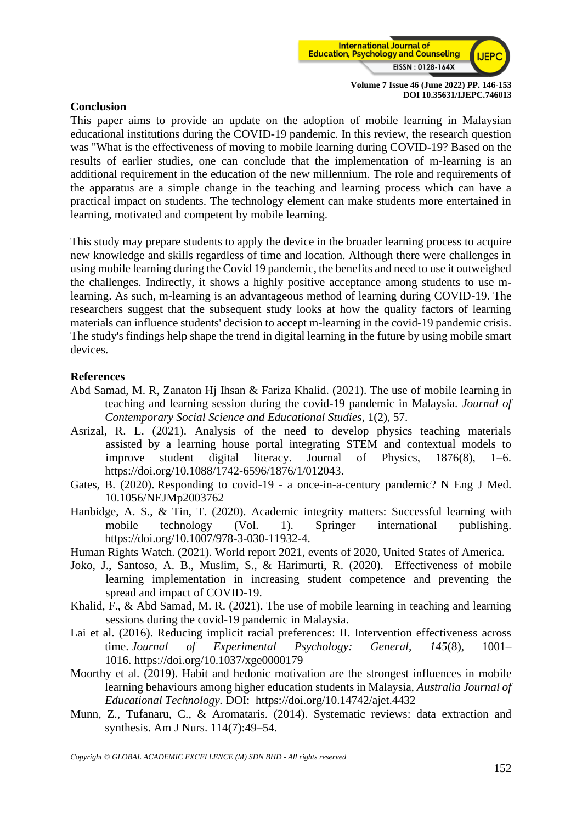

#### **Conclusion**

This paper aims to provide an update on the adoption of mobile learning in Malaysian educational institutions during the COVID-19 pandemic. In this review, the research question was "What is the effectiveness of moving to mobile learning during COVID-19? Based on the results of earlier studies, one can conclude that the implementation of m-learning is an additional requirement in the education of the new millennium. The role and requirements of the apparatus are a simple change in the teaching and learning process which can have a practical impact on students. The technology element can make students more entertained in learning, motivated and competent by mobile learning.

This study may prepare students to apply the device in the broader learning process to acquire new knowledge and skills regardless of time and location. Although there were challenges in using mobile learning during the Covid 19 pandemic, the benefits and need to use it outweighed the challenges. Indirectly, it shows a highly positive acceptance among students to use mlearning. As such, m-learning is an advantageous method of learning during COVID-19. The researchers suggest that the subsequent study looks at how the quality factors of learning materials can influence students' decision to accept m-learning in the covid-19 pandemic crisis. The study's findings help shape the trend in digital learning in the future by using mobile smart devices.

#### **References**

- Abd Samad, M. R, Zanaton Hj Ihsan & Fariza Khalid. (2021). The use of mobile learning in teaching and learning session during the covid-19 pandemic in Malaysia. *Journal of Contemporary Social Science and Educational Studies*, 1(2), 57.
- Asrizal, R. L. (2021). Analysis of the need to develop physics teaching materials assisted by a learning house portal integrating STEM and contextual models to improve student digital literacy. Journal of Physics, 1876(8), 1–6. https://doi.org/10.1088/1742-6596/1876/1/012043.
- Gates, B. (2020). Responding to covid-19 a once-in-a-century pandemic? N Eng J Med. 10.1056/NEJMp2003762
- Hanbidge, A. S., & Tin, T. (2020). Academic integrity matters: Successful learning with mobile technology (Vol. 1). Springer international publishing. https://doi.org/10.1007/978-3-030-11932-4.
- Human Rights Watch. (2021). World report 2021, events of 2020, United States of America.
- Joko, J., Santoso, A. B., Muslim, S., & Harimurti, R. (2020). Effectiveness of mobile learning implementation in increasing student competence and preventing the spread and impact of COVID-19.
- Khalid, F., & Abd Samad, M. R. (2021). The use of mobile learning in teaching and learning sessions during the covid-19 pandemic in Malaysia.
- Lai et al. (2016). Reducing implicit racial preferences: II. Intervention effectiveness across time. *Journal of Experimental Psychology: General, 145*(8), 1001– 1016. [https://doi.org/10.1037/xge0000179](https://psycnet.apa.org/doi/10.1037/xge0000179)
- Moorthy et al. (2019). Habit and hedonic motivation are the strongest influences in mobile learning behaviours among higher education students in Malaysia, *Australia Journal of Educational Technology.* DOI: <https://doi.org/10.14742/ajet.4432>
- Munn, Z., Tufanaru, C., & Aromataris. (2014). Systematic reviews: data extraction and synthesis. Am J Nurs. 114(7):49–54.